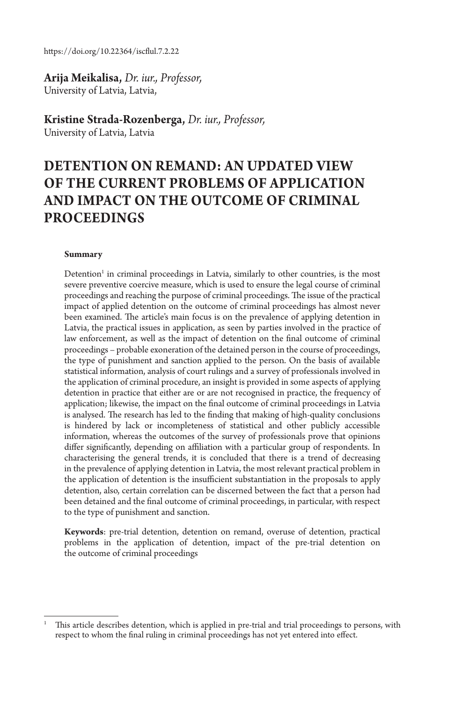https://doi.org/10.22364/iscflul.7.2.22

### **Arija Meikalisa,** *Dr. iur., Professor,*

University of Latvia, Latvia,

### **Kristine Strada-Rozenberga,** *Dr. iur., Professor,*

University of Latvia, Latvia

# **DETENTION ON REMAND: AN UPDATED VIEW OF THE CURRENT PROBLEMS OF APPLICATION AND IMPACT ON THE OUTCOME OF CRIMINAL PROCEEDINGS**

#### **Summary**

 $D$ etention<sup>1</sup> in criminal proceedings in Latvia, similarly to other countries, is the most severe preventive coercive measure, which is used to ensure the legal course of criminal proceedings and reaching the purpose of criminal proceedings. The issue of the practical impact of applied detention on the outcome of criminal proceedings has almost never been examined. The article's main focus is on the prevalence of applying detention in Latvia, the practical issues in application, as seen by parties involved in the practice of law enforcement, as well as the impact of detention on the final outcome of criminal proceedings – probable exoneration of the detained person in the course of proceedings, the type of punishment and sanction applied to the person. On the basis of available statistical information, analysis of court rulings and a survey of professionals involved in the application of criminal procedure, an insight is provided in some aspects of applying detention in practice that either are or are not recognised in practice, the frequency of application; likewise, the impact on the final outcome of criminal proceedings in Latvia is analysed. The research has led to the finding that making of high-quality conclusions is hindered by lack or incompleteness of statistical and other publicly accessible information, whereas the outcomes of the survey of professionals prove that opinions differ significantly, depending on affiliation with a particular group of respondents. In characterising the general trends, it is concluded that there is a trend of decreasing in the prevalence of applying detention in Latvia, the most relevant practical problem in the application of detention is the insufficient substantiation in the proposals to apply detention, also, certain correlation can be discerned between the fact that a person had been detained and the final outcome of criminal proceedings, in particular, with respect to the type of punishment and sanction.

**Keywords**: pre-trial detention, detention on remand, overuse of detention, practical problems in the application of detention, impact of the pre-trial detention on the outcome of criminal proceedings

<sup>1</sup> This article describes detention, which is applied in pre-trial and trial proceedings to persons, with respect to whom the final ruling in criminal proceedings has not yet entered into effect.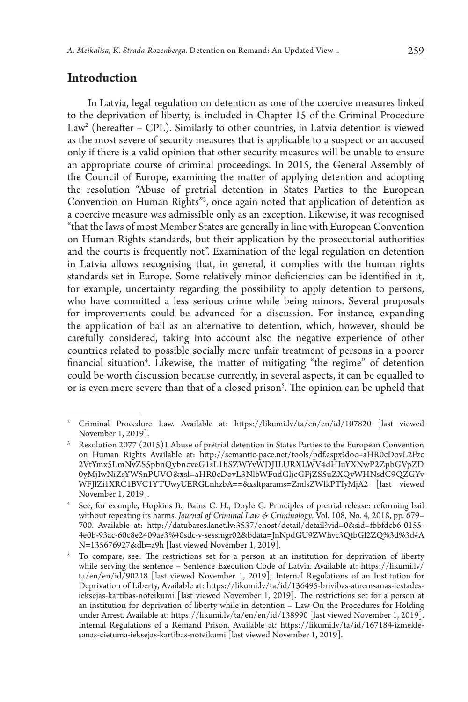### **Introduction**

In Latvia, legal regulation on detention as one of the coercive measures linked to the deprivation of liberty, is included in Chapter 15 of the Criminal Procedure Law2 (hereafter – CPL). Similarly to other countries, in Latvia detention is viewed as the most severe of security measures that is applicable to a suspect or an accused only if there is a valid opinion that other security measures will be unable to ensure an appropriate course of criminal proceedings. In 2015, the General Assembly of the Council of Europe, examining the matter of applying detention and adopting the resolution "Abuse of pretrial detention in States Parties to the European Convention on Human Rights"3 , once again noted that application of detention as a coercive measure was admissible only as an exception. Likewise, it was recognised "that the laws of most Member States are generally in line with European Convention on Human Rights standards, but their application by the prosecutorial authorities and the courts is frequently not". Examination of the legal regulation on detention in Latvia allows recognising that, in general, it complies with the human rights standards set in Europe. Some relatively minor deficiencies can be identified in it, for example, uncertainty regarding the possibility to apply detention to persons, who have committed a less serious crime while being minors. Several proposals for improvements could be advanced for a discussion. For instance, expanding the application of bail as an alternative to detention, which, however, should be carefully considered, taking into account also the negative experience of other countries related to possible socially more unfair treatment of persons in a poorer financial situation<sup>4</sup>. Likewise, the matter of mitigating "the regime" of detention could be worth discussion because currently, in several aspects, it can be equalled to or is even more severe than that of a closed prison<sup>5</sup>. The opinion can be upheld that

<sup>2</sup> Criminal Procedure Law. Available at: https://likumi.lv/ta/en/en/id/107820 [last viewed November 1, 2019].

<sup>3</sup> Resolution 2077 (2015)1 Abuse of pretrial detention in States Parties to the European Convention on Human Rights Available at: http://semantic-pace.net/tools/pdf.aspx?doc=aHR0cDovL2Fzc 2VtYmx5LmNvZS5pbnQvbncveG1sL1hSZWYvWDJILURXLWV4dHIuYXNwP2ZpbGVpZD 0yMjIwNiZsYW5nPUVO&xsl=aHR0cDovL3NlbWFudGljcGFjZS5uZXQvWHNsdC9QZGYv WFJlZi1XRC1BVC1YTUwyUERGLnhzbA==&xsltparams=ZmlsZWlkPTIyMjA2 [last viewed November 1, 2019].

See, for example, Hopkins B., Bains C. H., Doyle C. Principles of pretrial release: reforming bail without repeating its harms. *Journal of Criminal Law & Criminology*, Vol. 108, No. 4, 2018, pp. 679– 700. Available at: http://datubazes.lanet.lv:3537/ehost/detail/detail?vid=0&sid=fbbfdcb6-0155- 4e0b-93ac-60c8e2409ae3%40sdc-v-sessmgr02&bdata=JnNpdGU9ZWhvc3QtbGl2ZQ%3d%3d#A

To compare, see: The restrictions set for a person at an institution for deprivation of liberty while serving the sentence – Sentence Execution Code of Latvia. Available at: https://likumi.lv/ ta/en/en/id/90218 [last viewed November 1, 2019]; Internal Regulations of an Institution for Deprivation of Liberty, Available at: https://likumi.lv/ta/id/136495-brivibas-atnemsanas-iestadesieksejas-kartibas-noteikumi [last viewed November 1, 2019]. The restrictions set for a person at an institution for deprivation of liberty while in detention – Law On the Procedures for Holding under Arrest. Available at: https://likumi.lv/ta/en/en/id/138990 [last viewed November 1, 2019]. Internal Regulations of a Remand Prison. Available at: https://likumi.lv/ta/id/167184-izmeklesanas-cietuma-ieksejas-kartibas-noteikumi [last viewed November 1, 2019].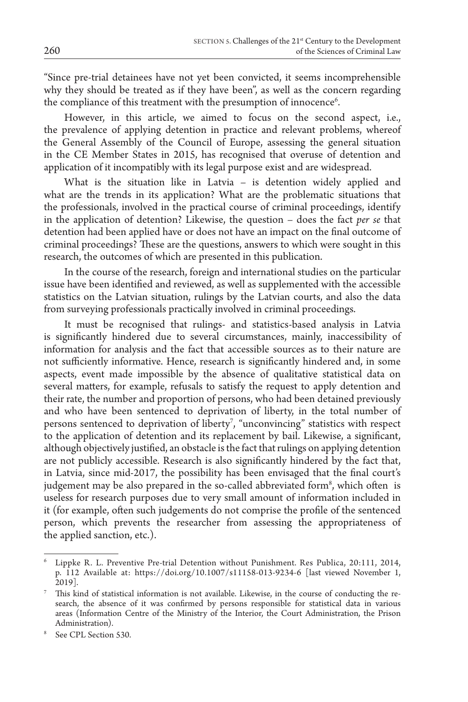"Since pre-trial detainees have not yet been convicted, it seems incomprehensible why they should be treated as if they have been", as well as the concern regarding the compliance of this treatment with the presumption of innocence $\rm ^6$ .

However, in this article, we aimed to focus on the second aspect, i.e., the prevalence of applying detention in practice and relevant problems, whereof the General Assembly of the Council of Europe, assessing the general situation in the CE Member States in 2015, has recognised that overuse of detention and application of it incompatibly with its legal purpose exist and are widespread.

What is the situation like in Latvia – is detention widely applied and what are the trends in its application? What are the problematic situations that the professionals, involved in the practical course of criminal proceedings, identify in the application of detention? Likewise, the question – does the fact *per se* that detention had been applied have or does not have an impact on the final outcome of criminal proceedings? These are the questions, answers to which were sought in this research, the outcomes of which are presented in this publication.

In the course of the research, foreign and international studies on the particular issue have been identified and reviewed, as well as supplemented with the accessible statistics on the Latvian situation, rulings by the Latvian courts, and also the data from surveying professionals practically involved in criminal proceedings.

It must be recognised that rulings- and statistics-based analysis in Latvia is significantly hindered due to several circumstances, mainly, inaccessibility of information for analysis and the fact that accessible sources as to their nature are not sufficiently informative. Hence, research is significantly hindered and, in some aspects, event made impossible by the absence of qualitative statistical data on several matters, for example, refusals to satisfy the request to apply detention and their rate, the number and proportion of persons, who had been detained previously and who have been sentenced to deprivation of liberty, in the total number of persons sentenced to deprivation of liberty7 , "unconvincing" statistics with respect to the application of detention and its replacement by bail. Likewise, a significant, although objectively justified, an obstacle is the fact that rulings on applying detention are not publicly accessible. Research is also significantly hindered by the fact that, in Latvia, since mid-2017, the possibility has been envisaged that the final court's judgement may be also prepared in the so-called abbreviated form<sup>8</sup>, which often is useless for research purposes due to very small amount of information included in it (for example, often such judgements do not comprise the profile of the sentenced person, which prevents the researcher from assessing the appropriateness of the applied sanction, etc.).

<sup>6</sup> Lippke R. L. Preventive Pre-trial Detention without Punishment. Res Publica, 20:111, 2014, p. 112 Available at: https://doi.org/10.1007/s11158-013-9234-6 [last viewed November 1, 2019].<br>This kind of statistical information is not available. Likewise, in the course of conducting the re-

search, the absence of it was confirmed by persons responsible for statistical data in various areas (Information Centre of the Ministry of the Interior, the Court Administration, the Prison Administration).

See CPL Section 530.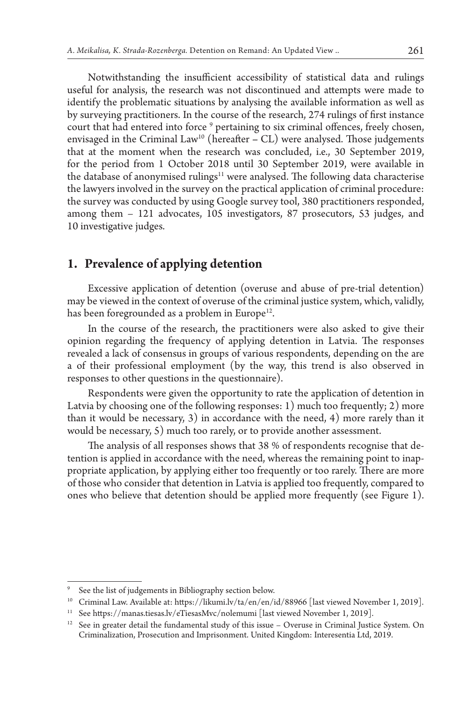Notwithstanding the insufficient accessibility of statistical data and rulings useful for analysis, the research was not discontinued and attempts were made to identify the problematic situations by analysing the available information as well as by surveying practitioners. In the course of the research, 274 rulings of first instance court that had entered into force <sup>9</sup> pertaining to six criminal offences, freely chosen, envisaged in the Criminal Law10 (hereafter **–** CL) were analysed. Those judgements that at the moment when the research was concluded, i.e., 30 September 2019, for the period from 1 October 2018 until 30 September 2019, were available in the database of anonymised rulings<sup>11</sup> were analysed. The following data characterise the lawyers involved in the survey on the practical application of criminal procedure: the survey was conducted by using Google survey tool, 380 practitioners responded, among them – 121 advocates, 105 investigators, 87 prosecutors, 53 judges, and 10 investigative judges.

### **1. Prevalence of applying detention**

Excessive application of detention (overuse and abuse of pre-trial detention) may be viewed in the context of overuse of the criminal justice system, which, validly, has been foregrounded as a problem in Europe<sup>12</sup>.

In the course of the research, the practitioners were also asked to give their opinion regarding the frequency of applying detention in Latvia. The responses revealed a lack of consensus in groups of various respondents, depending on the are a of their professional employment (by the way, this trend is also observed in responses to other questions in the questionnaire).

Respondents were given the opportunity to rate the application of detention in Latvia by choosing one of the following responses: 1) much too frequently; 2) more than it would be necessary, 3) in accordance with the need, 4) more rarely than it would be necessary, 5) much too rarely, or to provide another assessment.

The analysis of all responses shows that 38 % of respondents recognise that detention is applied in accordance with the need, whereas the remaining point to inappropriate application, by applying either too frequently or too rarely. There are more of those who consider that detention in Latvia is applied too frequently, compared to ones who believe that detention should be applied more frequently (see Figure 1).

See the list of judgements in Bibliography section below.

<sup>&</sup>lt;sup>10</sup> Criminal Law. Available at: https://likumi.lv/ta/en/en/id/88966 [last viewed November 1, 2019].

See https://manas.tiesas.lv/eTiesasMvc/nolemumi [last viewed November 1, 2019].

 $12$  See in greater detail the fundamental study of this issue – Overuse in Criminal Justice System. On Criminalization, Prosecution and Imprisonment. United Kingdom: Interesentia Ltd, 2019.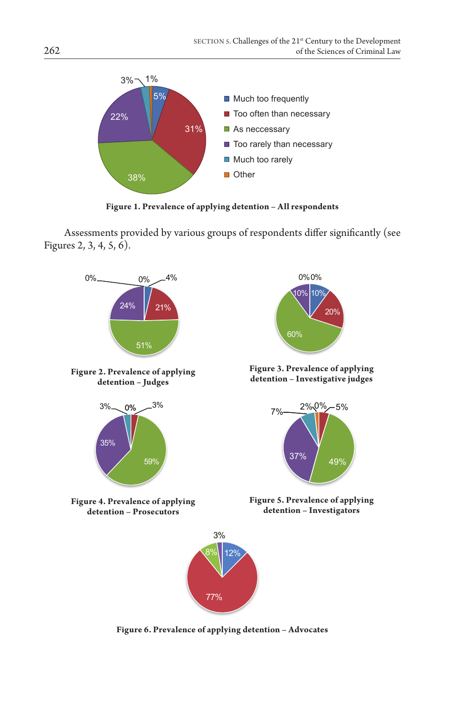

**Figure 1. Prevalence of applying detention – All respondents**

Assessments provided by various groups of respondents differ significantly (see Figures 2, 3, 4, 5, 6).



**Figure 6. Prevalence of applying detention – Advocates**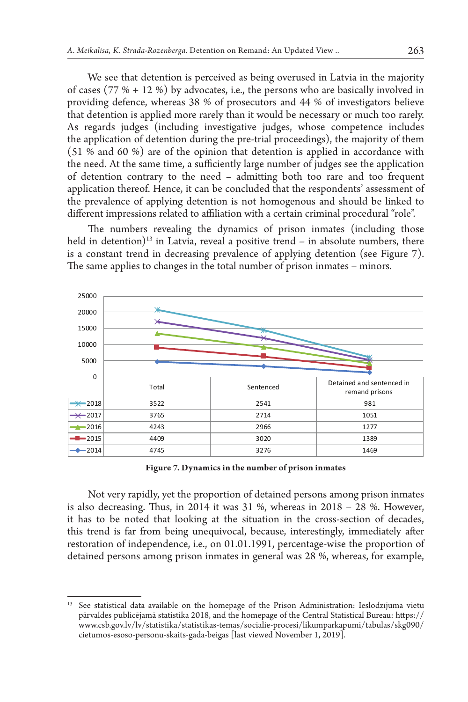We see that detention is perceived as being overused in Latvia in the majority of cases  $(77 % + 12 %)$  by advocates, i.e., the persons who are basically involved in providing defence, whereas 38 % of prosecutors and 44 % of investigators believe that detention is applied more rarely than it would be necessary or much too rarely. As regards judges (including investigative judges, whose competence includes the application of detention during the pre-trial proceedings), the majority of them  $(51 % and 60 %)$  are of the opinion that detention is applied in accordance with the need. At the same time, a sufficiently large number of judges see the application of detention contrary to the need **–** admitting both too rare and too frequent application thereof. Hence, it can be concluded that the respondents' assessment of the prevalence of applying detention is not homogenous and should be linked to different impressions related to affiliation with a certain criminal procedural "role".

The numbers revealing the dynamics of prison inmates (including those held in detention)<sup>13</sup> in Latvia, reveal a positive trend  $-$  in absolute numbers, there is a constant trend in decreasing prevalence of applying detention (see Figure 7). The same applies to changes in the total number of prison inmates – minors.



**Figure 7. Dynamics in the number of prison inmates**

Not very rapidly, yet the proportion of detained persons among prison inmates is also decreasing. Thus, in 2014 it was 31 %, whereas in 2018 – 28 %. However, it has to be noted that looking at the situation in the cross-section of decades, this trend is far from being unequivocal, because, interestingly, immediately after restoration of independence, i.e., on 01.01.1991, percentage-wise the proportion of detained persons among prison inmates in general was 28 %, whereas, for example,

<sup>13</sup> See statistical data available on the homepage of the Prison Administration: Ieslodzījuma vietu pārvaldes publicējamā statistika 2018, and the homepage of the Central Statistical Bureau: https:// www.csb.gov.lv/lv/statistika/statistikas-temas/socialie-procesi/likumparkapumi/tabulas/skg090/ cietumos-esoso-personu-skaits-gada-beigas [last viewed November 1, 2019].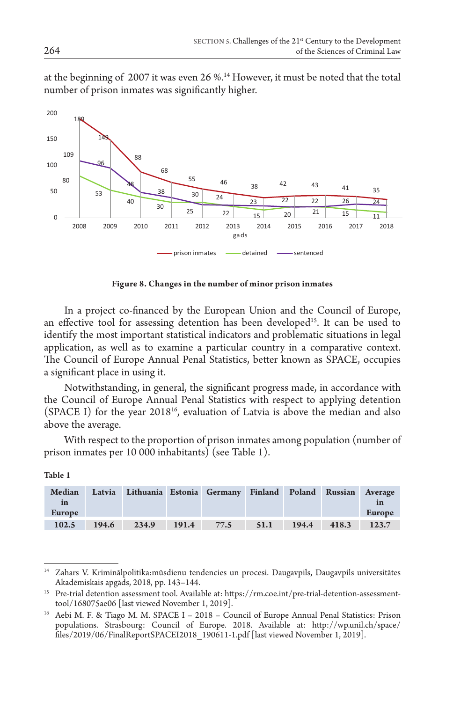



**Figure 8. Changes in the number of minor prison inmates**

In a project co-financed by the European Union and the Council of Europe, an effective tool for assessing detention has been developed<sup>15</sup>. It can be used to identify the most important statistical indicators and problematic situations in legal application, as well as to examine a particular country in a comparative context. The Council of Europe Annual Penal Statistics, better known as SPACE, occupies a significant place in using it.

Notwithstanding, in general, the significant progress made, in accordance with the Council of Europe Annual Penal Statistics with respect to applying detention (SPACE I) for the year  $2018^{16}$ , evaluation of Latvia is above the median and also above the average.

With respect to the proportion of prison inmates among population (number of prison inmates per 10 000 inhabitants) (see Table 1).

| Median |       | Latvia Lithuania Estonia Germany Finland Poland Russian Average |       |      |      |       |       |              |
|--------|-------|-----------------------------------------------------------------|-------|------|------|-------|-------|--------------|
| in     |       |                                                                 |       |      |      |       |       | $\mathbf{m}$ |
| Europe |       |                                                                 |       |      |      |       |       | Europe       |
| 102.5  | 194.6 | 234.9                                                           | 191.4 | 77.5 | 51.1 | 194.4 | 418.3 | 123.7        |

| I<br>I<br>۰.<br>.<br>--<br>×<br>- - |  |
|-------------------------------------|--|
|-------------------------------------|--|

<sup>14</sup> Zahars V. Kriminālpolitika:mūsdienu tendencies un procesi. Daugavpils, Daugavpils universitātes Akadēmiskais apgāds, 2018, pp. 143–144.<br><sup>15</sup> Pre-trial detention assessment tool. Available at: https://rm.coe.int/pre-trial-detention-assessment-

tool/168075ae06 [last viewed November 1, 2019].

<sup>&</sup>lt;sup>16</sup> Aebi M. F. & Tiago M. M. SPACE I – 2018 – Council of Europe Annual Penal Statistics: Prison populations. Strasbourg: Council of Europe. 2018. Available at: http://wp.unil.ch/space/ files/2019/06/FinalReportSPACEI2018\_190611-1.pdf [last viewed November 1, 2019].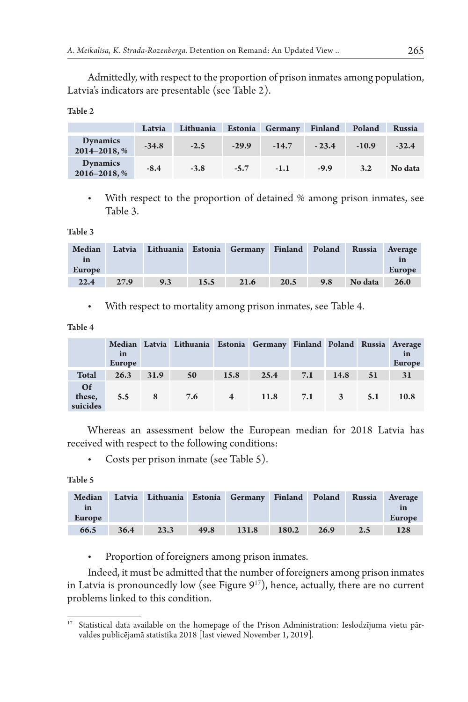Admittedly, with respect to the proportion of prison inmates among population, Latvia's indicators are presentable (see Table 2).

| - - | I<br>.<br>۰.<br>× |  |
|-----|-------------------|--|
|     |                   |  |

|                          | Latvia  | Lithuania | <b>Estonia</b> | <b>Germany</b> | Finland | Poland  | <b>Russia</b> |
|--------------------------|---------|-----------|----------------|----------------|---------|---------|---------------|
| Dynamics<br>2014-2018, % | $-34.8$ | $-2.5$    | $-29.9$        | $-14.7$        | $-23.4$ | $-10.9$ | $-32.4$       |
| Dynamics<br>2016-2018, % | $-8.4$  | $-3.8$    | $-5.7$         | $-1.1$         | $-9.9$  | 3.2     | No data       |

With respect to the proportion of detained % among prison inmates, see Table 3.

Table 3

| <b>Median</b> | Latvia | Lithuania Estonia Germany Finland Poland |      |      |      |     | Russia  | Average      |
|---------------|--------|------------------------------------------|------|------|------|-----|---------|--------------|
| $\mathbf{m}$  |        |                                          |      |      |      |     |         | $\mathbf{m}$ |
| Europe        |        |                                          |      |      |      |     |         | Europe       |
| 22.4          | 27.9   | 9.3                                      | 15.5 | 21.6 | 20.5 | 9.8 | No data | 26.0         |

• With respect to mortality among prison inmates, see Table 4.

Table 4

|                                 | in<br>Europe |      | Median Latvia Lithuania Estonia Germany Finland Poland Russia Average |                         |      |     |      |     | in<br><b>Europe</b> |
|---------------------------------|--------------|------|-----------------------------------------------------------------------|-------------------------|------|-----|------|-----|---------------------|
| <b>Total</b>                    | 26.3         | 31.9 | 50                                                                    | 15.8                    | 25.4 | 7.1 | 14.8 | 51  | 31                  |
| <b>Of</b><br>these,<br>suicides | 5.5          | 8    | 7.6                                                                   | $\overline{\mathbf{4}}$ | 11.8 | 7.1 | $-3$ | 5.1 | 10.8                |

Whereas an assessment below the European median for 2018 Latvia has received with respect to the following conditions:

• Costs per prison inmate (see Table 5).

Table 5

|              |      | Median Latvia Lithuania Estonia Germany Finland Poland Russia Average |      |       |       |      |     |              |
|--------------|------|-----------------------------------------------------------------------|------|-------|-------|------|-----|--------------|
| $\mathbf{m}$ |      |                                                                       |      |       |       |      |     | $\mathbf{m}$ |
| Europe       |      |                                                                       |      |       |       |      |     | Europe       |
| 66.5         | 36.4 | 23.3                                                                  | 49.8 | 131.8 | 180.2 | 26.9 | 2.5 | 128          |

• Proportion of foreigners among prison inmates.

Indeed, it must be admitted that the number of foreigners among prison inmates in Latvia is pronouncedly low (see Figure  $9<sup>17</sup>$ ), hence, actually, there are no current problems linked to this condition.

<sup>&</sup>lt;sup>17</sup> Statistical data available on the homepage of the Prison Administration: Ieslodzījuma vietu pārvaldes publicējamā statistika 2018 [last viewed November 1, 2019].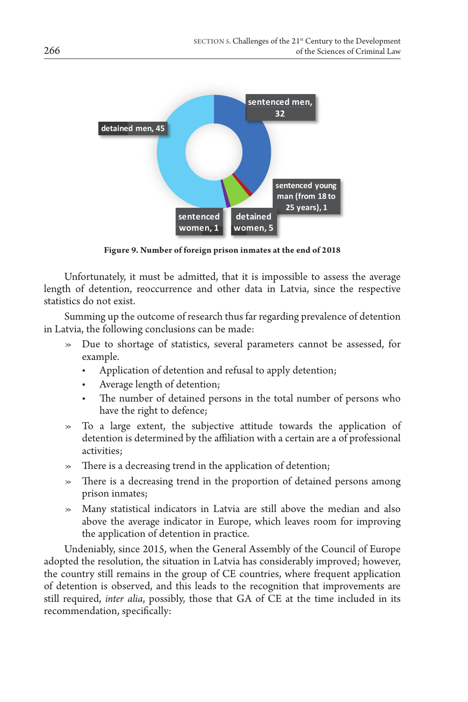

**Figure 9. Number of foreign prison inmates at the end of 2018**

Unfortunately, it must be admitted, that it is impossible to assess the average length of detention, reoccurrence and other data in Latvia, since the respective statistics do not exist.

Summing up the outcome of research thus far regarding prevalence of detention in Latvia, the following conclusions can be made:

- » Due to shortage of statistics, several parameters cannot be assessed, for example.
	- Application of detention and refusal to apply detention;
	- Average length of detention;
	- The number of detained persons in the total number of persons who have the right to defence;
- » To a large extent, the subjective attitude towards the application of detention is determined by the affiliation with a certain are a of professional activities;
- » There is a decreasing trend in the application of detention;
- » There is a decreasing trend in the proportion of detained persons among prison inmates;
- » Many statistical indicators in Latvia are still above the median and also above the average indicator in Europe, which leaves room for improving the application of detention in practice.

Undeniably, since 2015, when the General Assembly of the Council of Europe adopted the resolution, the situation in Latvia has considerably improved; however, the country still remains in the group of CE countries, where frequent application of detention is observed, and this leads to the recognition that improvements are still required, *inter alia*, possibly, those that GA of CE at the time included in its recommendation, specifically: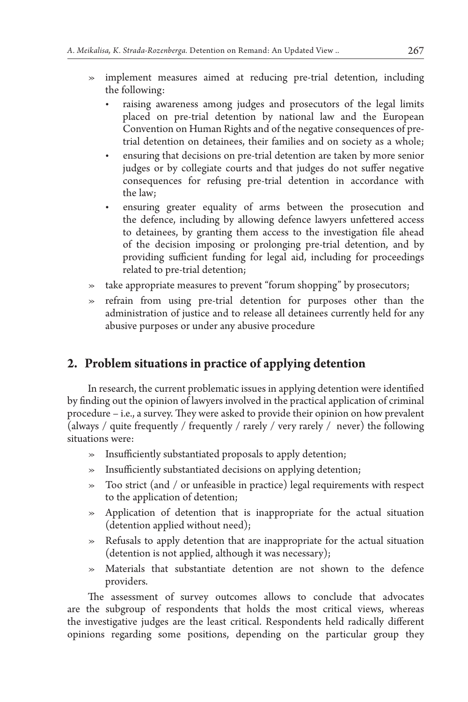- » implement measures aimed at reducing pre-trial detention, including the following:
	- raising awareness among judges and prosecutors of the legal limits placed on pre-trial detention by national law and the European Convention on Human Rights and of the negative consequences of pretrial detention on detainees, their families and on society as a whole;
	- ensuring that decisions on pre-trial detention are taken by more senior judges or by collegiate courts and that judges do not suffer negative consequences for refusing pre-trial detention in accordance with the law;
	- ensuring greater equality of arms between the prosecution and the defence, including by allowing defence lawyers unfettered access to detainees, by granting them access to the investigation file ahead of the decision imposing or prolonging pre-trial detention, and by providing sufficient funding for legal aid, including for proceedings related to pre-trial detention;
- » take appropriate measures to prevent "forum shopping" by prosecutors;
- » refrain from using pre-trial detention for purposes other than the administration of justice and to release all detainees currently held for any abusive purposes or under any abusive procedure

# **2. Problem situations in practice of applying detention**

In research, the current problematic issues in applying detention were identified by finding out the opinion of lawyers involved in the practical application of criminal procedure – i.e., a survey. They were asked to provide their opinion on how prevalent (always / quite frequently / frequently / rarely / very rarely / never) the following situations were:

- » Insufficiently substantiated proposals to apply detention;
- » Insufficiently substantiated decisions on applying detention;
- » Too strict (and / or unfeasible in practice) legal requirements with respect to the application of detention;
- » Application of detention that is inappropriate for the actual situation (detention applied without need);
- » Refusals to apply detention that are inappropriate for the actual situation (detention is not applied, although it was necessary);
- » Materials that substantiate detention are not shown to the defence providers.

The assessment of survey outcomes allows to conclude that advocates are the subgroup of respondents that holds the most critical views, whereas the investigative judges are the least critical. Respondents held radically different opinions regarding some positions, depending on the particular group they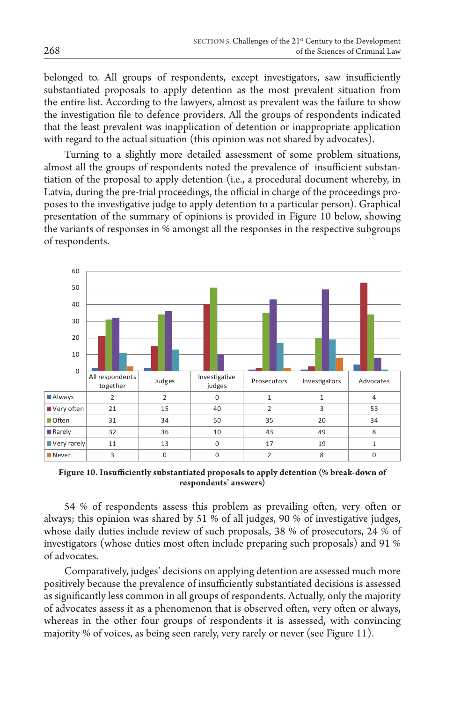belonged to. All groups of respondents, except investigators, saw insufficiently substantiated proposals to apply detention as the most prevalent situation from the entire list. According to the lawyers, almost as prevalent was the failure to show the investigation file to defence providers. All the groups of respondents indicated that the least prevalent was inapplication of detention or inappropriate application with regard to the actual situation (this opinion was not shared by advocates).

Turning to a slightly more detailed assessment of some problem situations, almost all the groups of respondents noted the prevalence of insufficient substantiation of the proposal to apply detention (i.e., a procedural document whereby, in Latvia, during the pre-trial proceedings, the official in charge of the proceedings proposes to the investigative judge to apply detention to a particular person). Graphical presentation of the summary of opinions is provided in Figure 10 below, showing the variants of responses in % amongst all the responses in the respective subgroups of respondents.



**Figure 10. Insufficiently substantiated proposals to apply detention (% break-down of respondents' answers)**

54 % of respondents assess this problem as prevailing often, very often or always; this opinion was shared by 51 % of all judges, 90 % of investigative judges, whose daily duties include review of such proposals, 38 % of prosecutors, 24 % of investigators (whose duties most often include preparing such proposals) and 91 % of advocates.

Comparatively, judges' decisions on applying detention are assessed much more positively because the prevalence of insufficiently substantiated decisions is assessed as significantly less common in all groups of respondents. Actually, only the majority of advocates assess it as a phenomenon that is observed often, very often or always, whereas in the other four groups of respondents it is assessed, with convincing majority % of voices, as being seen rarely, very rarely or never (see Figure 11).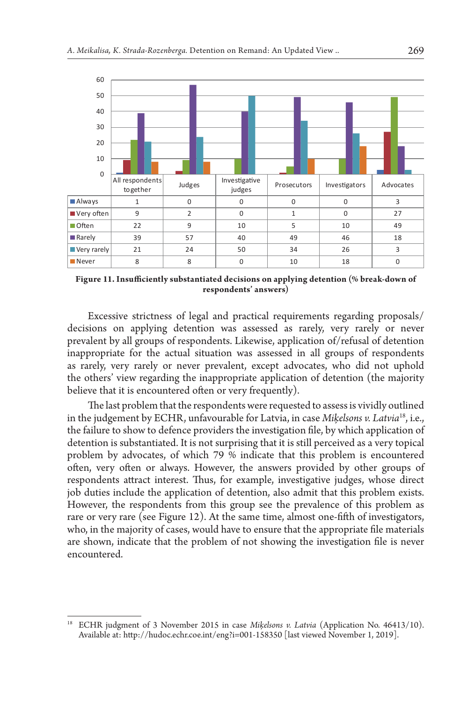

**Figure 11. Insufficiently substantiated decisions on applying detention (% break-down of respondents' answers)**

Excessive strictness of legal and practical requirements regarding proposals/ decisions on applying detention was assessed as rarely, very rarely or never prevalent by all groups of respondents. Likewise, application of/refusal of detention inappropriate for the actual situation was assessed in all groups of respondents as rarely, very rarely or never prevalent, except advocates, who did not uphold the others' view regarding the inappropriate application of detention (the majority believe that it is encountered often or very frequently).

The last problem that the respondents were requested to assess is vividly outlined in the judgement by ECHR, unfavourable for Latvia, in case *Miķelsons v. Latvia*18, i.e., the failure to show to defence providers the investigation file, by which application of detention is substantiated. It is not surprising that it is still perceived as a very topical problem by advocates, of which 79 % indicate that this problem is encountered often, very often or always. However, the answers provided by other groups of respondents attract interest. Thus, for example, investigative judges, whose direct job duties include the application of detention, also admit that this problem exists. However, the respondents from this group see the prevalence of this problem as rare or very rare (see Figure 12). At the same time, almost one-fifth of investigators, who, in the majority of cases, would have to ensure that the appropriate file materials are shown, indicate that the problem of not showing the investigation file is never encountered.

<sup>18</sup> ECHR judgment of 3 November 2015 in case *Miķelsons v. Latvia* (Application No. 46413/10). Available at: http://hudoc.echr.coe.int/eng?i=001-158350 [last viewed November 1, 2019].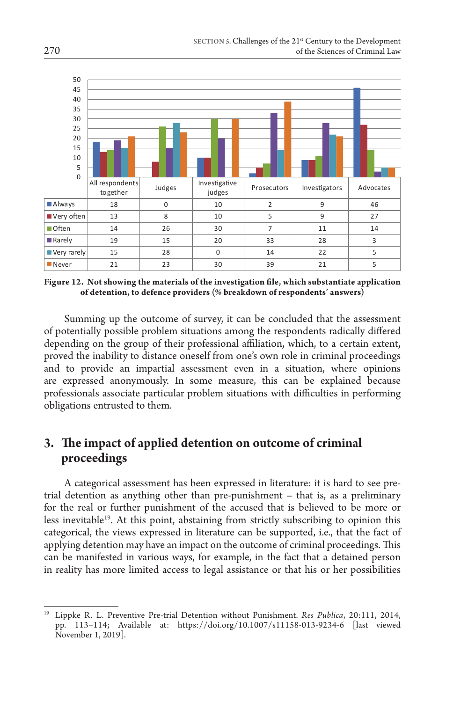

**Figure 12. Not showing the materials of the investigation file, which substantiate application of detention, to defence providers (% breakdown of respondents' answers)**

Summing up the outcome of survey, it can be concluded that the assessment of potentially possible problem situations among the respondents radically differed depending on the group of their professional affiliation, which, to a certain extent, proved the inability to distance oneself from one's own role in criminal proceedings and to provide an impartial assessment even in a situation, where opinions are expressed anonymously. In some measure, this can be explained because professionals associate particular problem situations with difficulties in performing obligations entrusted to them.

# **3. The impact of applied detention on outcome of criminal proceedings**

A categorical assessment has been expressed in literature: it is hard to see pretrial detention as anything other than pre-punishment – that is, as a preliminary for the real or further punishment of the accused that is believed to be more or less inevitable<sup>19</sup>. At this point, abstaining from strictly subscribing to opinion this categorical, the views expressed in literature can be supported, i.e., that the fact of applying detention may have an impact on the outcome of criminal proceedings. This can be manifested in various ways, for example, in the fact that a detained person in reality has more limited access to legal assistance or that his or her possibilities

<sup>19</sup> Lippke R. L. Preventive Pre-trial Detention without Punishment. *Res Publica*, 20:111, 2014, pp. 113–114; Available at: https://doi.org/10.1007/s11158-013-9234-6 [last viewed November 1, 2019].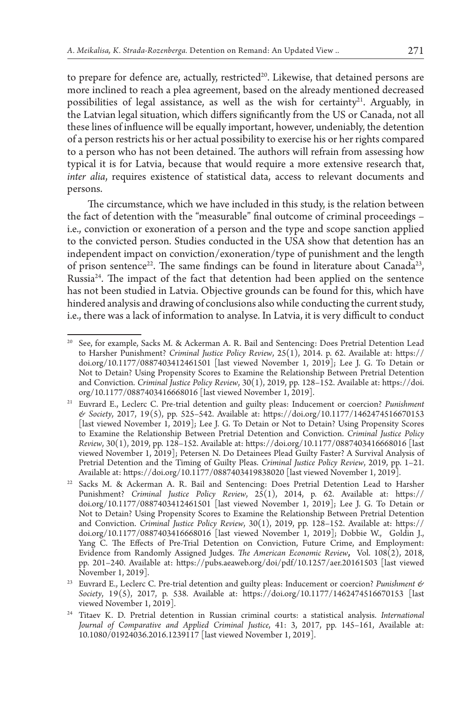to prepare for defence are, actually, restricted<sup>20</sup>. Likewise, that detained persons are more inclined to reach a plea agreement, based on the already mentioned decreased possibilities of legal assistance, as well as the wish for certainty<sup>21</sup>. Arguably, in the Latvian legal situation, which differs significantly from the US or Canada, not all these lines of influence will be equally important, however, undeniably, the detention of a person restricts his or her actual possibility to exercise his or her rights compared to a person who has not been detained. The authors will refrain from assessing how typical it is for Latvia, because that would require a more extensive research that, *inter alia*, requires existence of statistical data, access to relevant documents and persons.

The circumstance, which we have included in this study, is the relation between the fact of detention with the "measurable" final outcome of criminal proceedings – i.e., conviction or exoneration of a person and the type and scope sanction applied to the convicted person. Studies conducted in the USA show that detention has an independent impact on conviction/exoneration/type of punishment and the length of prison sentence<sup>22</sup>. The same findings can be found in literature about Canada<sup>23</sup>, Russia<sup>24</sup>. The impact of the fact that detention had been applied on the sentence has not been studied in Latvia. Objective grounds can be found for this, which have hindered analysis and drawing of conclusions also while conducting the current study, i.e., there was a lack of information to analyse. In Latvia, it is very difficult to conduct

<sup>&</sup>lt;sup>20</sup> See, for example, Sacks M. & Ackerman A. R. Bail and Sentencing: Does Pretrial Detention Lead to Harsher Punishment? *Criminal Justice Policy Review*, 25(1), 2014. p. 62. Available at: https:// doi.org/10.1177/0887403412461501 [last viewed November 1, 2019]; Lee J. G. To Detain or Not to Detain? Using Propensity Scores to Examine the Relationship Between Pretrial Detention and Conviction. *Criminal Justice Policy Review*, 30(1), 2019, pp. 128–152. Available at: https://doi.

<sup>&</sup>lt;sup>21</sup> Euvrard E., Leclerc C. Pre-trial detention and guilty pleas: Inducement or coercion? *Punishment & Society*, 2017, 19(5), pp. 525–542. Available at: https://doi.org/10.1177/1462474516670153 [last viewed November 1, 2019]; Lee J. G. To Detain or Not to Detain? Using Propensity Scores to Examine the Relationship Between Pretrial Detention and Conviction. *Criminal Justice Policy Review*, 30(1), 2019, pp. 128–152. Available at: https://doi.org/10.1177/0887403416668016 [last viewed November 1, 2019]; Petersen N. Do Detainees Plead Guilty Faster? A Survival Analysis of Pretrial Detention and the Timing of Guilty Pleas. *Criminal Justice Policy Review*, 2019, pp. 1–21. Available at: https://doi.org/10.1177/0887403419838020 [last viewed November 1, 2019].

<sup>22</sup> Sacks M. & Ackerman A. R. Bail and Sentencing: Does Pretrial Detention Lead to Harsher Punishment? *Criminal Justice Policy Review*, 25(1), 2014, p. 62. Available at: https:// doi.org/10.1177/0887403412461501 [last viewed November 1, 2019]; Lee J. G. To Detain or Not to Detain? Using Propensity Scores to Examine the Relationship Between Pretrial Detention and Conviction. *Criminal Justice Policy Review*, 30(1), 2019, pp. 128–152. Available at: https:// doi.org/10.1177/0887403416668016 [last viewed November 1, 2019]; Dobbie W., Goldin J., Yang C. The Effects of Pre-Trial Detention on Conviction, Future Crime, and Employment: Evidence from Randomly Assigned Judges. *The American Economic Review***,** Vol. 108(2), 2018, pp. 201–240. Available at: https://pubs.aeaweb.org/doi/pdf/10.1257/aer.20161503 [last viewed

<sup>&</sup>lt;sup>23</sup> Euvrard E., Leclerc C. Pre-trial detention and guilty pleas: Inducement or coercion? *Punishment & Society*, 19(5), 2017, p. 538. Available at: https://doi.org/10.1177/1462474516670153 [last viewed November 1, 2019].

<sup>24</sup> Titaev K. D. Pretrial detention in Russian criminal courts: a statistical analysis. *International Journal of Comparative and Applied Criminal Justice*, 41: 3, 2017, pp. 145–161, Available at: 10.1080/01924036.2016.1239117 [last viewed November 1, 2019].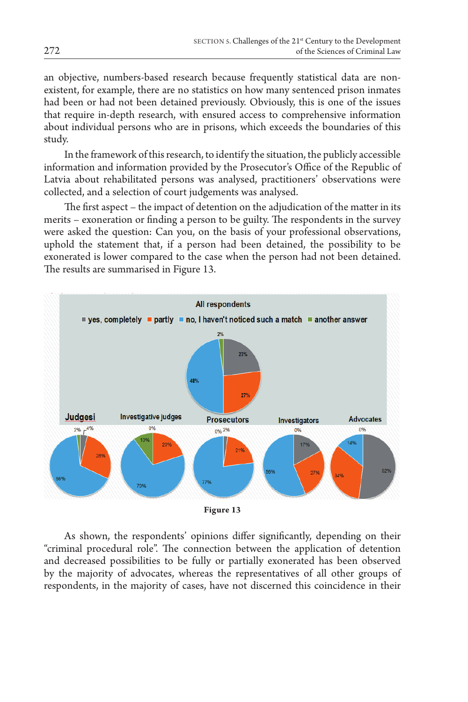an objective, numbers-based research because frequently statistical data are nonexistent, for example, there are no statistics on how many sentenced prison inmates had been or had not been detained previously. Obviously, this is one of the issues that require in-depth research, with ensured access to comprehensive information about individual persons who are in prisons, which exceeds the boundaries of this study.

In the framework of this research, to identify the situation, the publicly accessible information and information provided by the Prosecutor's Office of the Republic of Latvia about rehabilitated persons was analysed, practitioners' observations were collected, and a selection of court judgements was analysed.

The first aspect – the impact of detention on the adjudication of the matter in its merits – exoneration or finding a person to be guilty. The respondents in the survey were asked the question: Can you, on the basis of your professional observations, uphold the statement that, if a person had been detained, the possibility to be exonerated is lower compared to the case when the person had not been detained. The results are summarised in Figure 13.



**Figure 13**

As shown, the respondents' opinions differ significantly, depending on their "criminal procedural role". The connection between the application of detention and decreased possibilities to be fully or partially exonerated has been observed by the majority of advocates, whereas the representatives of all other groups of respondents, in the majority of cases, have not discerned this coincidence in their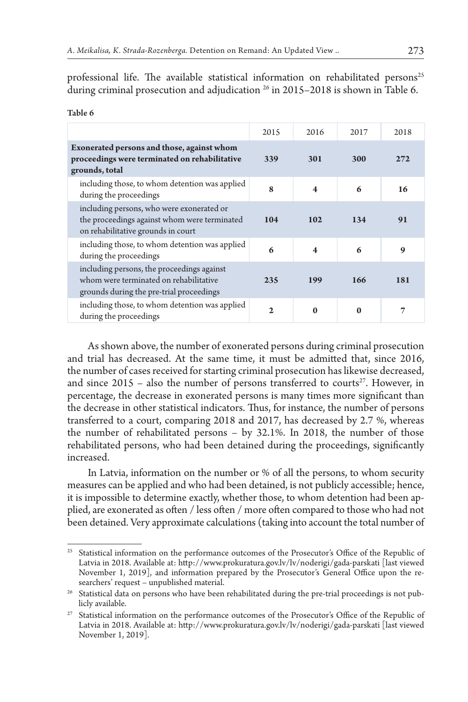professional life. The available statistical information on rehabilitated persons<sup>25</sup> during criminal prosecution and adjudication  $^{26}$  in 2015–2018 is shown in Table 6.

|                                                                                                                                  | 2015         | 2016                    | 2017     | 2018 |
|----------------------------------------------------------------------------------------------------------------------------------|--------------|-------------------------|----------|------|
| Exonerated persons and those, against whom<br>proceedings were terminated on rehabilitative<br>grounds, total                    | 339          | 301                     | 300      | 272  |
| including those, to whom detention was applied<br>during the proceedings                                                         | $\mathbf{8}$ | $\overline{\mathbf{4}}$ | 6        | 16   |
| including persons, who were exonerated or<br>the proceedings against whom were terminated<br>on rehabilitative grounds in court  | 104          | 102                     | 134      | 91   |
| including those, to whom detention was applied<br>during the proceedings                                                         | 6            | $\overline{\mathbf{4}}$ | 6        | 9    |
| including persons, the proceedings against<br>whom were terminated on rehabilitative<br>grounds during the pre-trial proceedings | 235          | 199                     | 166      | 181  |
| including those, to whom detention was applied<br>during the proceedings                                                         | $\mathbf{2}$ | $\mathbf{0}$            | $\bf{0}$ | 7    |

#### Table 6

As shown above, the number of exonerated persons during criminal prosecution and trial has decreased. At the same time, it must be admitted that, since 2016, the number of cases received for starting criminal prosecution has likewise decreased, and since  $2015$  – also the number of persons transferred to courts<sup>27</sup>. However, in percentage, the decrease in exonerated persons is many times more significant than the decrease in other statistical indicators. Thus, for instance, the number of persons transferred to a court, comparing 2018 and 2017, has decreased by 2.7 %, whereas the number of rehabilitated persons – by 32.1%. In 2018, the number of those rehabilitated persons, who had been detained during the proceedings, significantly increased.

In Latvia, information on the number or % of all the persons, to whom security measures can be applied and who had been detained, is not publicly accessible; hence, it is impossible to determine exactly, whether those, to whom detention had been applied, are exonerated as often / less often / more often compared to those who had not been detained. Very approximate calculations (taking into account the total number of

<sup>&</sup>lt;sup>25</sup> Statistical information on the performance outcomes of the Prosecutor's Office of the Republic of Latvia in 2018. Available at: http://www.prokuratura.gov.lv/lv/noderigi/gada-parskati [last viewed November 1, 2019], and information prepared by the Prosecutor's General Office upon the researchers' request – unpublished material.

 $^{26}\,$  Statistical data on persons who have been rehabilitated during the pre-trial proceedings is not publicly available.

<sup>&</sup>lt;sup>27</sup> Statistical information on the performance outcomes of the Prosecutor's Office of the Republic of Latvia in 2018. Available at: http://www.prokuratura.gov.lv/lv/noderigi/gada-parskati [last viewed November 1, 2019].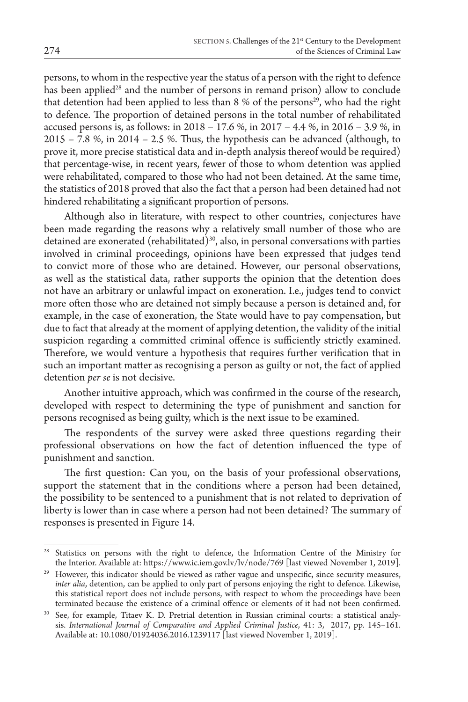persons, to whom in the respective year the status of a person with the right to defence has been applied<sup>28</sup> and the number of persons in remand prison) allow to conclude that detention had been applied to less than 8 % of the persons<sup>29</sup>, who had the right to defence. The proportion of detained persons in the total number of rehabilitated accused persons is, as follows: in 2018 – 17.6 %, in 2017 – 4.4 %, in 2016 – 3.9 %, in 2015 – 7.8 %, in 2014 – 2.5 %. Thus, the hypothesis can be advanced (although, to prove it, more precise statistical data and in-depth analysis thereof would be required) that percentage-wise, in recent years, fewer of those to whom detention was applied were rehabilitated, compared to those who had not been detained. At the same time, the statistics of 2018 proved that also the fact that a person had been detained had not hindered rehabilitating a significant proportion of persons.

Although also in literature, with respect to other countries, conjectures have been made regarding the reasons why a relatively small number of those who are detained are exonerated (rehabilitated)<sup>30</sup>, also, in personal conversations with parties involved in criminal proceedings, opinions have been expressed that judges tend to convict more of those who are detained. However, our personal observations, as well as the statistical data, rather supports the opinion that the detention does not have an arbitrary or unlawful impact on exoneration. I.e., judges tend to convict more often those who are detained not simply because a person is detained and, for example, in the case of exoneration, the State would have to pay compensation, but due to fact that already at the moment of applying detention, the validity of the initial suspicion regarding a committed criminal offence is sufficiently strictly examined. Therefore, we would venture a hypothesis that requires further verification that in such an important matter as recognising a person as guilty or not, the fact of applied detention *per se* is not decisive.

Another intuitive approach, which was confirmed in the course of the research, developed with respect to determining the type of punishment and sanction for persons recognised as being guilty, which is the next issue to be examined.

The respondents of the survey were asked three questions regarding their professional observations on how the fact of detention influenced the type of punishment and sanction.

The first question: Can you, on the basis of your professional observations, support the statement that in the conditions where a person had been detained, the possibility to be sentenced to a punishment that is not related to deprivation of liberty is lower than in case where a person had not been detained? The summary of responses is presented in Figure 14.

Statistics on persons with the right to defence, the Information Centre of the Ministry for the Interior. Available at: https://www.ic.iem.gov.lv/lv/node/769 [last viewed November 1, 2019].

<sup>&</sup>lt;sup>29</sup> However, this indicator should be viewed as rather vague and unspecific, since security measures, *inter alia*, detention, can be applied to only part of persons enjoying the right to defence. Likewise, this statistical report does not include persons, with respect to whom the proceedings have been terminated because the existence of a criminal offence or elements of it had not been confirmed.

<sup>&</sup>lt;sup>30</sup> See, for example, Titaev K. D. Pretrial detention in Russian criminal courts: a statistical analysis. *International Journal of Comparative and Applied Criminal Justice*, 41: 3, 2017, pp. 145–161. Available at: 10.1080/01924036.2016.1239117 [last viewed November 1, 2019].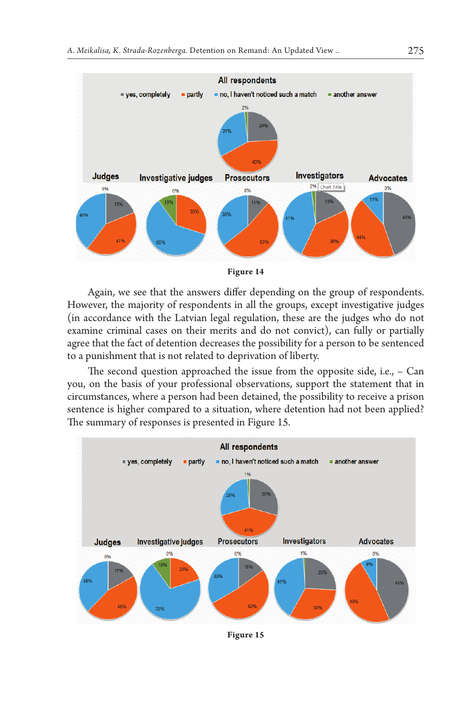



Again, we see that the answers differ depending on the group of respondents. However, the majority of respondents in all the groups, except investigative judges (in accordance with the Latvian legal regulation, these are the judges who do not examine criminal cases on their merits and do not convict), can fully or partially agree that the fact of detention decreases the possibility for a person to be sentenced to a punishment that is not related to deprivation of liberty.

The second question approached the issue from the opposite side, i.e.,  $-$  Can you, on the basis of your professional observations, support the statement that in circumstances, where a person had been detained, the possibility to receive a prison sentence is higher compared to a situation, where detention had not been applied? The summary of responses is presented in Figure 15.



**Figure 15**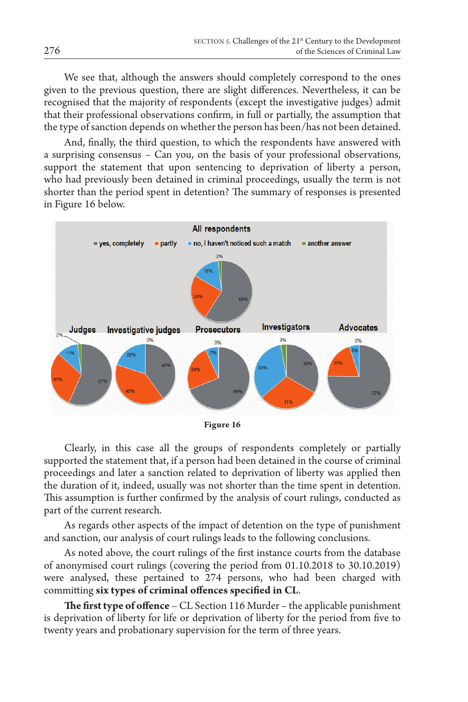We see that, although the answers should completely correspond to the ones given to the previous question, there are slight differences. Nevertheless, it can be recognised that the majority of respondents (except the investigative judges) admit that their professional observations confirm, in full or partially, the assumption that the type of sanction depends on whether the person has been/has not been detained.

And, finally, the third question, to which the respondents have answered with a surprising consensus – Can you, on the basis of your professional observations, support the statement that upon sentencing to deprivation of liberty a person, who had previously been detained in criminal proceedings, usually the term is not shorter than the period spent in detention? The summary of responses is presented in Figure 16 below.



Clearly, in this case all the groups of respondents completely or partially supported the statement that, if a person had been detained in the course of criminal proceedings and later a sanction related to deprivation of liberty was applied then the duration of it, indeed, usually was not shorter than the time spent in detention. This assumption is further confirmed by the analysis of court rulings, conducted as part of the current research.

As regards other aspects of the impact of detention on the type of punishment and sanction, our analysis of court rulings leads to the following conclusions.

As noted above, the court rulings of the first instance courts from the database of anonymised court rulings (covering the period from 01.10.2018 to 30.10.2019) were analysed, these pertained to 274 persons, who had been charged with committing **six types of criminal offences specified in CL**.

**The first type of offence** – CL Section 116 Murder – the applicable punishment is deprivation of liberty for life or deprivation of liberty for the period from five to twenty years and probationary supervision for the term of three years.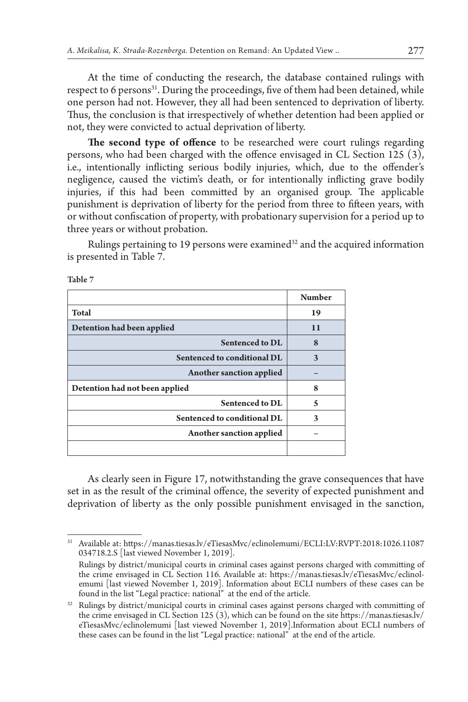At the time of conducting the research, the database contained rulings with respect to 6 persons<sup>31</sup>. During the proceedings, five of them had been detained, while one person had not. However, they all had been sentenced to deprivation of liberty. Thus, the conclusion is that irrespectively of whether detention had been applied or not, they were convicted to actual deprivation of liberty.

**The second type of offence** to be researched were court rulings regarding persons, who had been charged with the offence envisaged in CL Section 125 (3), i.e., intentionally inflicting serious bodily injuries, which, due to the offender's negligence, caused the victim's death, or for intentionally inflicting grave bodily injuries, if this had been committed by an organised group. The applicable punishment is deprivation of liberty for the period from three to fifteen years, with or without confiscation of property, with probationary supervision for a period up to three years or without probation.

Rulings pertaining to 19 persons were examined<sup>32</sup> and the acquired information is presented in Table 7.

| .<br>$\sim$<br>-- |  |
|-------------------|--|
|-------------------|--|

|                                | <b>Number</b> |
|--------------------------------|---------------|
| <b>Total</b>                   | 19            |
| Detention had been applied     | 11            |
| <b>Sentenced to DL</b>         | 8             |
| Sentenced to conditional DL    | 3             |
| Another sanction applied       |               |
| Detention had not been applied | 8             |
| Sentenced to DL                | 5             |
| Sentenced to conditional DL    | 3             |
| Another sanction applied       |               |
|                                |               |

As clearly seen in Figure 17, notwithstanding the grave consequences that have set in as the result of the criminal offence, the severity of expected punishment and deprivation of liberty as the only possible punishment envisaged in the sanction,

<sup>31</sup> Available at: https://manas.tiesas.lv/eTiesasMvc/eclinolemumi/ECLI:LV:RVPT:2018:1026.11087 034718.2.S [last viewed November 1, 2019]. Rulings by district/municipal courts in criminal cases against persons charged with committing of the crime envisaged in CL Section 116. Available at: https://manas.tiesas.lv/eTiesasMvc/eclinolemumi [last viewed November 1, 2019]. Information about ECLI numbers of these cases can be found in the list "Legal practice: national" at the end of the article.

<sup>&</sup>lt;sup>32</sup> Rulings by district/municipal courts in criminal cases against persons charged with committing of the crime envisaged in CL Section 125 (3), which can be found on the site https://manas.tiesas.lv/ eTiesasMvc/eclinolemumi [last viewed November 1, 2019].Information about ECLI numbers of these cases can be found in the list "Legal practice: national" at the end of the article.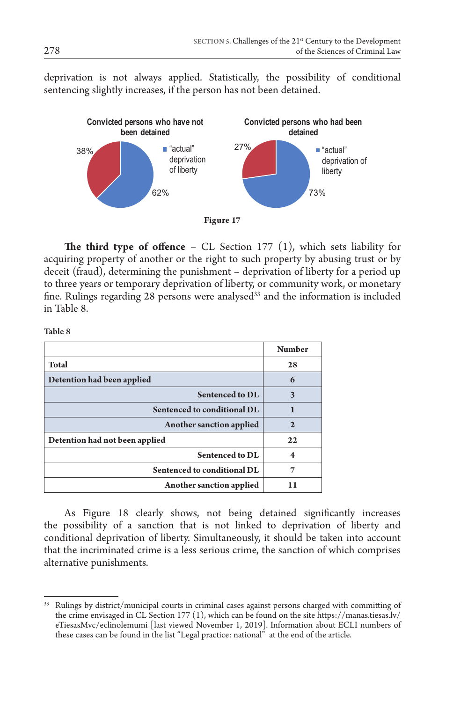deprivation is not always applied. Statistically, the possibility of conditional sentencing slightly increases, if the person has not been detained.



**The third type of offence**  $-$  CL Section 177  $(1)$ , which sets liability for acquiring property of another or the right to such property by abusing trust or by deceit (fraud), determining the punishment – deprivation of liberty for a period up to three years or temporary deprivation of liberty, or community work, or monetary fine. Rulings regarding 28 persons were analysed<sup>33</sup> and the information is included in Table 8.

Table 8

|                                | <b>Number</b> |
|--------------------------------|---------------|
| Total                          | 28            |
| Detention had been applied     | 6             |
| <b>Sentenced to DL</b>         | 3             |
| Sentenced to conditional DL    |               |
| Another sanction applied       | $\mathbf{2}$  |
| Detention had not been applied | 22            |
| <b>Sentenced to DL</b>         |               |
| Sentenced to conditional DL    |               |
| Another sanction applied       | 11            |

As Figure 18 clearly shows, not being detained significantly increases the possibility of a sanction that is not linked to deprivation of liberty and conditional deprivation of liberty. Simultaneously, it should be taken into account that the incriminated crime is a less serious crime, the sanction of which comprises alternative punishments.

<sup>33</sup> Rulings by district/municipal courts in criminal cases against persons charged with committing of the crime envisaged in CL Section 177 (1), which can be found on the site https://manas.tiesas.lv/ eTiesasMvc/eclinolemumi [last viewed November 1, 2019]. Information about ECLI numbers of these cases can be found in the list "Legal practice: national" at the end of the article.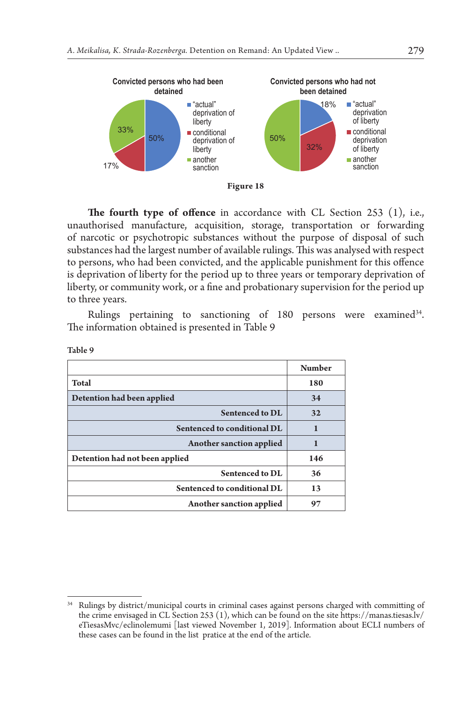

**The fourth type of offence** in accordance with CL Section 253 (1), i.e., unauthorised manufacture, acquisition, storage, transportation or forwarding of narcotic or psychotropic substances without the purpose of disposal of such substances had the largest number of available rulings. This was analysed with respect to persons, who had been convicted, and the applicable punishment for this offence is deprivation of liberty for the period up to three years or temporary deprivation of liberty, or community work, or a fine and probationary supervision for the period up to three years.

Rulings pertaining to sanctioning of 180 persons were examined<sup>34</sup>. The information obtained is presented in Table 9

|                                | <b>Number</b> |
|--------------------------------|---------------|
| <b>Total</b>                   | 180           |
| Detention had been applied     | 34            |
| <b>Sentenced to DL</b>         | 32            |
| Sentenced to conditional DL    | 1             |
| Another sanction applied       | 1             |
| Detention had not been applied | 146           |
| <b>Sentenced to DL</b>         | 36            |
| Sentenced to conditional DL    | 13            |
| Another sanction applied       | 97            |

Table 9

Rulings by district/municipal courts in criminal cases against persons charged with committing of the crime envisaged in CL Section 253 (1), which can be found on the site https://manas.tiesas.lv/ eTiesasMvc/eclinolemumi [last viewed November 1, 2019]. Information about ECLI numbers of these cases can be found in the list pratice at the end of the article.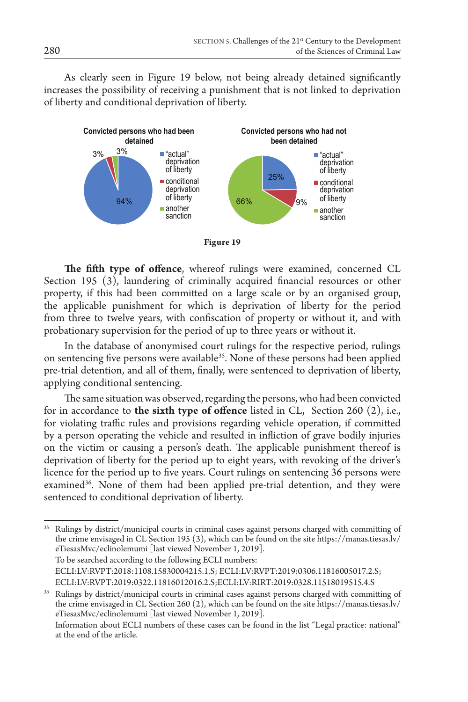As clearly seen in Figure 19 below, not being already detained significantly increases the possibility of receiving a punishment that is not linked to deprivation of liberty and conditional deprivation of liberty.



**Figure 19**

**The fifth type of offence**, whereof rulings were examined, concerned CL Section 195 (3), laundering of criminally acquired financial resources or other property, if this had been committed on a large scale or by an organised group, the applicable punishment for which is deprivation of liberty for the period from three to twelve years, with confiscation of property or without it, and with probationary supervision for the period of up to three years or without it.

In the database of anonymised court rulings for the respective period, rulings on sentencing five persons were available<sup>35</sup>. None of these persons had been applied pre-trial detention, and all of them, finally, were sentenced to deprivation of liberty, applying conditional sentencing.

The same situation was observed, regarding the persons, who had been convicted for in accordance to **the sixth type of offence** listed in CL, Section 260 (2), i.e., for violating traffic rules and provisions regarding vehicle operation, if committed by a person operating the vehicle and resulted in infliction of grave bodily injuries on the victim or causing a person's death. The applicable punishment thereof is deprivation of liberty for the period up to eight years, with revoking of the driver's licence for the period up to five years. Court rulings on sentencing 36 persons were examined<sup>36</sup>. None of them had been applied pre-trial detention, and they were sentenced to conditional deprivation of liberty.

<sup>35</sup> Rulings by district/municipal courts in criminal cases against persons charged with committing of the crime envisaged in CL Section 195 (3), which can be found on the site https://manas.tiesas.lv/ eTiesasMvc/eclinolemumi [last viewed November 1, 2019]. To be searched according to the following ECLI numbers: ECLI:LV:RVPT:2018:1108.15830004215.1.S; ECLI:LV:RVPT:2019:0306.11816005017.2.S; ECLI:LV:RVPT:2019:0322.11816012016.2.S;ECLI:LV:RIRT:2019:0328.11518019515.4.S

<sup>&</sup>lt;sup>36</sup> Rulings by district/municipal courts in criminal cases against persons charged with committing of the crime envisaged in CL Section 260 (2), which can be found on the site https://manas.tiesas.lv/ eTiesasMvc/eclinolemumi [last viewed November 1, 2019].

Information about ECLI numbers of these cases can be found in the list "Legal practice: national" at the end of the article.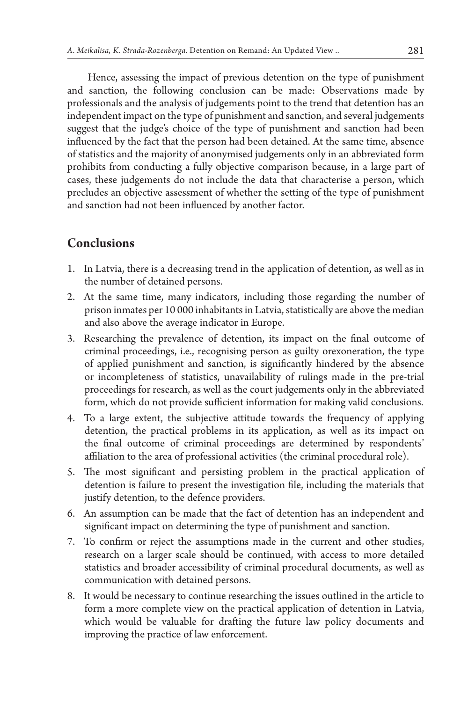Hence, assessing the impact of previous detention on the type of punishment and sanction, the following conclusion can be made: Observations made by professionals and the analysis of judgements point to the trend that detention has an independent impact on the type of punishment and sanction, and several judgements suggest that the judge's choice of the type of punishment and sanction had been influenced by the fact that the person had been detained. At the same time, absence of statistics and the majority of anonymised judgements only in an abbreviated form prohibits from conducting a fully objective comparison because, in a large part of cases, these judgements do not include the data that characterise a person, which precludes an objective assessment of whether the setting of the type of punishment and sanction had not been influenced by another factor.

## **Conclusions**

- 1. In Latvia, there is a decreasing trend in the application of detention, as well as in the number of detained persons.
- 2. At the same time, many indicators, including those regarding the number of prison inmates per 10 000 inhabitants in Latvia, statistically are above the median and also above the average indicator in Europe.
- 3. Researching the prevalence of detention, its impact on the final outcome of criminal proceedings, i.e., recognising person as guilty orexoneration, the type of applied punishment and sanction, is significantly hindered by the absence or incompleteness of statistics, unavailability of rulings made in the pre-trial proceedings for research, as well as the court judgements only in the abbreviated form, which do not provide sufficient information for making valid conclusions.
- 4. To a large extent, the subjective attitude towards the frequency of applying detention, the practical problems in its application, as well as its impact on the final outcome of criminal proceedings are determined by respondents' affiliation to the area of professional activities (the criminal procedural role).
- 5. The most significant and persisting problem in the practical application of detention is failure to present the investigation file, including the materials that justify detention, to the defence providers.
- 6. An assumption can be made that the fact of detention has an independent and significant impact on determining the type of punishment and sanction.
- 7. To confirm or reject the assumptions made in the current and other studies, research on a larger scale should be continued, with access to more detailed statistics and broader accessibility of criminal procedural documents, as well as communication with detained persons.
- 8. It would be necessary to continue researching the issues outlined in the article to form a more complete view on the practical application of detention in Latvia, which would be valuable for drafting the future law policy documents and improving the practice of law enforcement.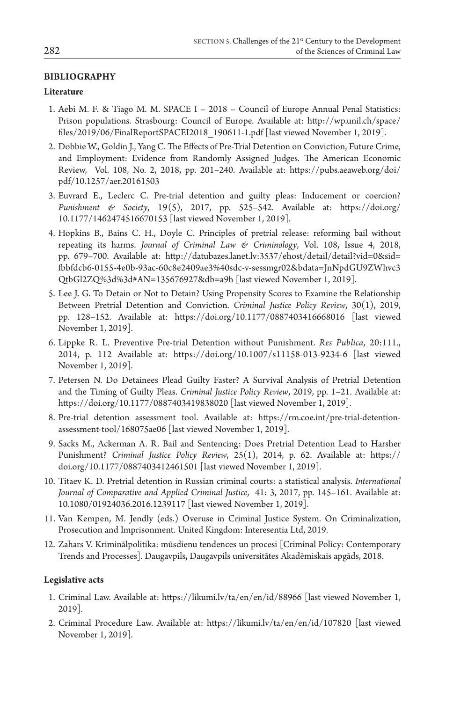#### **BIBLIOGRAPHY**

#### **Literature**

- 1. Aebi M. F. & Tiago M. M. SPACE I 2018 Council of Europe Annual Penal Statistics: Prison populations. Strasbourg: Council of Europe. Available at: http://wp.unil.ch/space/ files/2019/06/FinalReportSPACEI2018\_190611-1.pdf [last viewed November 1, 2019].
- 2. Dobbie W., Goldin J., Yang C. The Effects of Pre-Trial Detention on Conviction, Future Crime, and Employment: Evidence from Randomly Assigned Judges. The American Economic Review, Vol. 108, No. 2, 2018, pp. 201–240. Available at: https://pubs.aeaweb.org/doi/ pdf/10.1257/aer.20161503
- 3. Euvrard E., Leclerc C. Pre-trial detention and guilty pleas: Inducement or coercion? *Punishment & Society*, 19(5), 2017, pp. 525–542. Available at: https://doi.org/ 10.1177/1462474516670153 [last viewed November 1, 2019].
- 4. Hopkins B., Bains C. H., Doyle C. Principles of pretrial release: reforming bail without repeating its harms. *Journal of Criminal Law & Criminology*, Vol. 108, Issue 4, 2018, pp. 679–700. Available at: http://datubazes.lanet.lv:3537/ehost/detail/detail?vid=0&sid= fbbfdcb6-0155-4e0b-93ac-60c8e2409ae3%40sdc-v-sessmgr02&bdata=JnNpdGU9ZWhvc3 QtbGl2ZQ%3d%3d#AN=135676927&db=a9h [last viewed November 1, 2019].
- 5. Lee J. G. To Detain or Not to Detain? Using Propensity Scores to Examine the Relationship Between Pretrial Detention and Conviction. *Criminal Justice Policy Review*, 30(1), 2019, pp. 128–152. Available at: https://doi.org/10.1177/0887403416668016 [last viewed November 1, 2019].
- 6. Lippke R. L. Preventive Pre-trial Detention without Punishment. *Res Publica*, 20:111., 2014, p. 112 Available at: https://doi.org/10.1007/s11158-013-9234-6 [last viewed November 1, 2019].
- 7. Petersen N. Do Detainees Plead Guilty Faster? A Survival Analysis of Pretrial Detention and the Timing of Guilty Pleas. *Criminal Justice Policy Review*, 2019, pp. 1–21. Available at: https://doi.org/10.1177/0887403419838020 [last viewed November 1, 2019].
- 8. Pre-trial detention assessment tool. Available at: https://rm.coe.int/pre-trial-detentionassessment-tool/168075ae06 [last viewed November 1, 2019].
- 9. Sacks M., Ackerman A. R. Bail and Sentencing: Does Pretrial Detention Lead to Harsher Punishment? *Criminal Justice Policy Review*, 25(1), 2014, p. 62. Available at: https:// doi.org/10.1177/0887403412461501 [last viewed November 1, 2019].
- 10. Titaev K. D. Pretrial detention in Russian criminal courts: a statistical analysis. *International Journal of Comparative and Applied Criminal Justice*, 41: 3, 2017, pp. 145–161. Available at: 10.1080/01924036.2016.1239117 [last viewed November 1, 2019].
- 11. Van Kempen, M. Jendly (eds.) Overuse in Criminal Justice System. On Criminalization, Prosecution and Imprisonment. United Kingdom: Interesentia Ltd, 2019.
- 12. Zahars V. Kriminālpolitika: mūsdienu tendences un procesi [Criminal Policy: Contemporary Trends and Processes]. Daugavpils, Daugavpils universitātes Akadēmiskais apgāds, 2018.

#### **Legislative acts**

- 1. Criminal Law. Available at: https://likumi.lv/ta/en/en/id/88966 [last viewed November 1, 2019].
- 2. Criminal Procedure Law. Available at: https://likumi.lv/ta/en/en/id/107820 [last viewed November 1, 2019].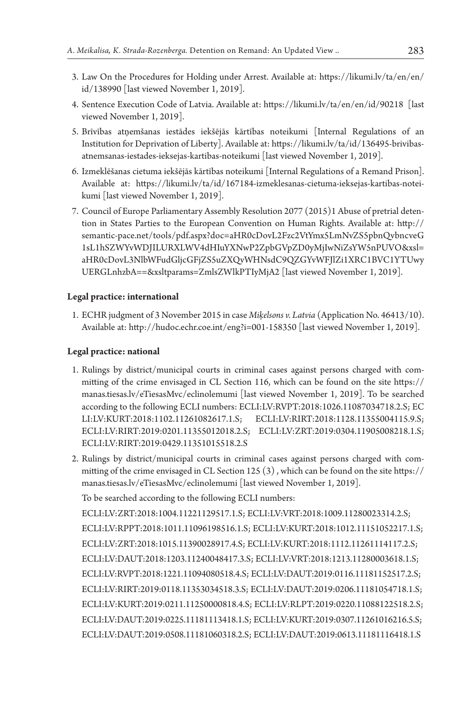- 3. Law On the Procedures for Holding under Arrest. Available at: https://likumi.lv/ta/en/en/ id/138990 [last viewed November 1, 2019].
- 4. Sentence Execution Code of Latvia. Available at: https://likumi.lv/ta/en/en/id/90218 [last viewed November 1, 2019].
- 5. Brīvības atņemšanas iestādes iekšējās kārtības noteikumi [Internal Regulations of an Institution for Deprivation of Liberty]. Available at: https://likumi.lv/ta/id/136495-brivibasatnemsanas-iestades-ieksejas-kartibas-noteikumi [last viewed November 1, 2019].
- 6. Izmeklēšanas cietuma iekšējās kārtības noteikumi [Internal Regulations of a Remand Prison]. Available at: https://likumi.lv/ta/id/167184-izmeklesanas-cietuma-ieksejas-kartibas-noteikumi [last viewed November 1, 2019].
- 7. Council of Europe Parliamentary Assembly Resolution 2077 (2015)1 Abuse of pretrial detention in States Parties to the European Convention on Human Rights. Available at: http:// semantic-pace.net/tools/pdf.aspx?doc=aHR0cDovL2Fzc2VtYmx5LmNvZS5pbnQvbncveG 1sL1hSZWYvWDJILURXLWV4dHIuYXNwP2ZpbGVpZD0yMjIwNiZsYW5nPUVO&xsl= aHR0cDovL3NlbWFudGljcGFjZS5uZXQvWHNsdC9QZGYvWFJlZi1XRC1BVC1YTUwy UERGLnhzbA==&xsltparams=ZmlsZWlkPTIyMjA2 [last viewed November 1, 2019].

#### **Legal practice: international**

 1. ECHR judgment of 3 November 2015 in case *Miķelsons v. Latvia* (Application No. 46413/10). Available at: http://hudoc.echr.coe.int/eng?i=001-158350 [last viewed November 1, 2019].

#### **Legal practice: national**

- 1. Rulings by district/municipal courts in criminal cases against persons charged with committing of the crime envisaged in CL Section 116, which can be found on the site https:// manas.tiesas.lv/eTiesasMvc/eclinolemumi [last viewed November 1, 2019]. To be searched according to the following ECLI numbers: ECLI:LV:RVPT:2018:1026.11087034718.2.S; EC LI:LV:KURT:2018:1102.11261082617.1.S; ECLI:LV:RIRT:2018:1128.11355004115.9.S; ECLI:LV:RIRT:2019:0201.11355012018.2.S; ECLI:LV:ZRT:2019:0304.11905008218.1.S; ECLI:LV:RIRT:2019:0429.11351015518.2.S
- 2. Rulings by district/municipal courts in criminal cases against persons charged with committing of the crime envisaged in CL Section 125 (3) , which can be found on the site https:// manas.tiesas.lv/eTiesasMvc/eclinolemumi [last viewed November 1, 2019].

To be searched according to the following ECLI numbers:

ECLI:LV:ZRT:2018:1004.11221129517.1.S; ECLI:LV:VRT:2018:1009.11280023314.2.S; ECLI:LV:RPPT:2018:1011.11096198516.1.S; ECLI:LV:KURT:2018:1012.11151052217.1.S; ECLI:LV:ZRT:2018:1015.11390028917.4.S; ECLI:LV:KURT:2018:1112.11261114117.2.S; ECLI:LV:DAUT:2018:1203.11240048417.3.S; ECLI:LV:VRT:2018:1213.11280003618.1.S; ECLI:LV:RVPT:2018:1221.11094080518.4.S; ECLI:LV:DAUT:2019:0116.11181152517.2.S; ECLI:LV:RIRT:2019:0118.11353034518.3.S; ECLI:LV:DAUT:2019:0206.11181054718.1.S; ECLI:LV:KURT:2019:0211.11250000818.4.S; ECLI:LV:RLPT:2019:0220.11088122518.2.S; ECLI:LV:DAUT:2019:0225.11181113418.1.S; ECLI:LV:KURT:2019:0307.11261016216.5.S; ECLI:LV:DAUT:2019:0508.11181060318.2.S; ECLI:LV:DAUT:2019:0613.11181116418.1.S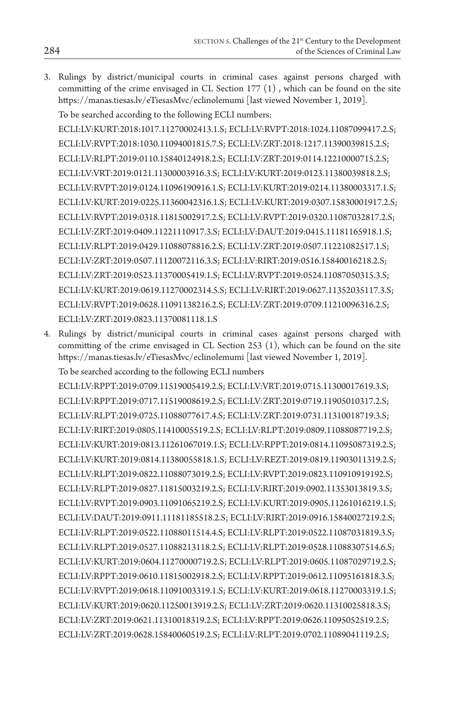3. Rulings by district/municipal courts in criminal cases against persons charged with committing of the crime envisaged in CL Section  $177(1)$ , which can be found on the site https://manas.tiesas.lv/eTiesasMvc/eclinolemumi [last viewed November 1, 2019].

To be searched according to the following ECLI numbers: ECLI:LV:KURT:2018:1017.11270002413.1.S; ECLI:LV:RVPT:2018:1024.11087099417.2.S; ECLI:LV:RVPT:2018:1030.11094001815.7.S; ECLI:LV:ZRT:2018:1217.11390039815.2.S; ECLI:LV:RLPT:2019:0110.15840124918.2.S; ECLI:LV:ZRT:2019:0114.12210000715.2.S; ECLI:LV:VRT:2019:0121.11300003916.3.S; ECLI:LV:KURT:2019:0123.11380039818.2.S; ECLI:LV:RVPT:2019:0124.11096190916.1.S; ECLI:LV:KURT:2019:0214.11380003317.1.S; ECLI:LV:KURT:2019:0225.11360042316.1.S; ECLI:LV:KURT:2019:0307.15830001917.2.S; ECLI:LV:RVPT:2019:0318.11815002917.2.S; ECLI:LV:RVPT:2019:0320.11087032817.2.S; ECLI:LV:ZRT:2019:0409.11221110917.3.S; ECLI:LV:DAUT:2019:0415.11181165918.1.S; ECLI:LV:RLPT:2019:0429.11088078816.2.S; ECLI:LV:ZRT:2019:0507.11221082517.1.S; ECLI:LV:ZRT:2019:0507.11120072116.3.S; ECLI:LV:RIRT:2019:0516.15840016218.2.S; ECLI:LV:ZRT:2019:0523.11370005419.1.S; ECLI:LV:RVPT:2019:0524.11087050315.3.S; ECLI:LV:KURT:2019:0619.11270002314.5.S; ECLI:LV:RIRT:2019:0627.11352035117.3.S; ECLI:LV:RVPT:2019:0628.11091138216.2.S; ECLI:LV:ZRT:2019:0709.11210096316.2.S; ECLI:LV:ZRT:2019:0823.11370081118.1.S

4. Rulings by district/municipal courts in criminal cases against persons charged with committing of the crime envisaged in CL Section 253 (1), which can be found on the site https://manas.tiesas.lv/eTiesasMvc/eclinolemumi [last viewed November 1, 2019].

To be searched according to the following ECLI numbers

ECLI:LV:RPPT:2019:0709.11519005419.2.S; ECLI:LV:VRT:2019:0715.11300017619.3.S; ECLI:LV:RPPT:2019:0717.11519008619.2.S; ECLI:LV:ZRT:2019:0719.11905010317.2.S; ECLI:LV:RLPT:2019:0725.11088077617.4.S; ECLI:LV:ZRT:2019:0731.11310018719.3.S; ECLI:LV:RIRT:2019:0805.11410005519.2.S; ECLI:LV:RLPT:2019:0809.11088087719.2.S; ECLI:LV:KURT:2019:0813.11261067019.1.S; ECLI:LV:RPPT:2019:0814.11095087319.2.S; ECLI:LV:KURT:2019:0814.11380055818.1.S; ECLI:LV:REZT:2019:0819.11903011319.2.S; ECLI:LV:RLPT:2019:0822.11088073019.2.S; ECLI:LV:RVPT:2019:0823.110910919192.S; ECLI:LV:RLPT:2019:0827.11815003219.2.S; ECLI:LV:RIRT:2019:0902.11353013819.3.S; ECLI:LV:RVPT:2019:0903.11091065219.2.S; ECLI:LV:KURT:2019:0905.11261016219.1.S; ECLI:LV:DAUT:2019:0911.11181185518.2.S; ECLI:LV:RIRT:2019:0916.15840027219.2.S; ECLI:LV:RLPT:2019:0522.11088011514.4.S; ECLI:LV:RLPT:2019:0522.11087031819.3.S; ECLI:LV:RLPT:2019:0527.11088213118.2.S; ECLI:LV:RLPT:2019:0528.11088307514.6.S; ECLI:LV:KURT:2019:0604.11270000719.2.S; ECLI:LV:RLPT:2019:0605.11087029719.2.S; ECLI:LV:RPPT:2019:0610.11815002918.2.S; ECLI:LV:RPPT:2019:0612.11095161818.3.S; ECLI:LV:RVPT:2019:0618.11091003319.1.S; ECLI:LV:KURT:2019:0618.11270003319.1.S; ECLI:LV:KURT:2019:0620.11250013919.2.S; ECLI:LV:ZRT:2019:0620.11310025818.3.S; ECLI:LV:ZRT:2019:0621.11310018319.2.S; ECLI:LV:RPPT:2019:0626.11095052519.2.S; ECLI:LV:ZRT:2019:0628.15840060519.2.S; ECLI:LV:RLPT:2019:0702.11089041119.2.S;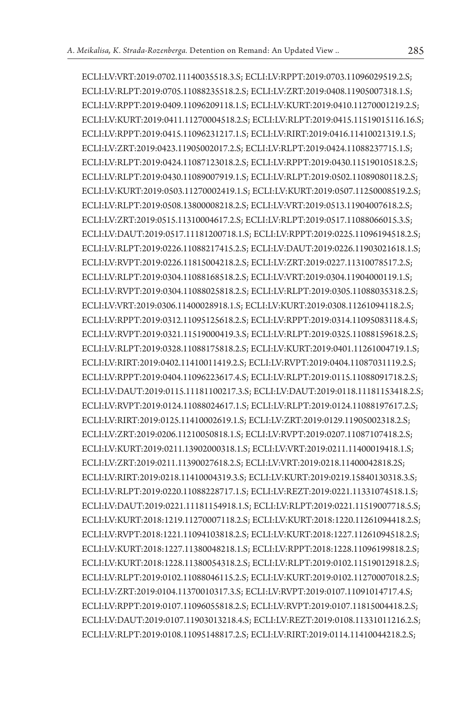ECLI:LV:VRT:2019:0702.11140035518.3.S; ECLI:LV:RPPT:2019:0703.11096029519.2.S; ECLI:LV:RLPT:2019:0705.11088235518.2.S; ECLI:LV:ZRT:2019:0408.11905007318.1.S; ECLI:LV:RPPT:2019:0409.11096209118.1.S; ECLI:LV:KURT:2019:0410.11270001219.2.S; ECLI:LV:KURT:2019:0411.11270004518.2.S; ECLI:LV:RLPT:2019:0415.11519015116.16.S; ECLI:LV:RPPT:2019:0415.11096231217.1.S; ECLI:LV:RIRT:2019:0416.11410021319.1.S; ECLI:LV:ZRT:2019:0423.11905002017.2.S; ECLI:LV:RLPT:2019:0424.11088237715.1.S; ECLI:LV:RLPT:2019:0424.11087123018.2.S; ECLI:LV:RPPT:2019:0430.11519010518.2.S; ECLI:LV:RLPT:2019:0430.11089007919.1.S; ECLI:LV:RLPT:2019:0502.11089080118.2.S; ECLI:LV:KURT:2019:0503.11270002419.1.S; ECLI:LV:KURT:2019:0507.11250008519.2.S; ECLI:LV:RLPT:2019:0508.13800008218.2.S; ECLI:LV:VRT:2019:0513.11904007618.2.S; ECLI:LV:ZRT:2019:0515.11310004617.2.S; ECLI:LV:RLPT:2019:0517.11088066015.3.S; ECLI:LV:DAUT:2019:0517.11181200718.1.S; ECLI:LV:RPPT:2019:0225.11096194518.2.S; ECLI:LV:RLPT:2019:0226.11088217415.2.S; ECLI:LV:DAUT:2019:0226.11903021618.1.S; ECLI:LV:RVPT:2019:0226.11815004218.2.S; ECLI:LV:ZRT:2019:0227.11310078517.2.S; ECLI:LV:RLPT:2019:0304.11088168518.2.S; ECLI:LV:VRT:2019:0304.11904000119.1.S; ECLI:LV:RVPT:2019:0304.11088025818.2.S; ECLI:LV:RLPT:2019:0305.11088035318.2.S; ECLI:LV:VRT:2019:0306.11400028918.1.S; ECLI:LV:KURT:2019:0308.11261094118.2.S; ECLI:LV:RPPT:2019:0312.11095125618.2.S; ECLI:LV:RPPT:2019:0314.11095083118.4.S; ECLI:LV:RVPT:2019:0321.11519000419.3.S; ECLI:LV:RLPT:2019:0325.11088159618.2.S; ECLI:LV:RLPT:2019:0328.11088175818.2.S; ECLI:LV:KURT:2019:0401.11261004719.1.S; ECLI:LV:RIRT:2019:0402.11410011419.2.S; ECLI:LV:RVPT:2019:0404.11087031119.2.S; ECLI:LV:RPPT:2019:0404.11096223617.4.S; ECLI:LV:RLPT:2019:0115.11088091718.2.S; ECLI:LV:DAUT:2019:0115.11181100217.3.S; ECLI:LV:DAUT:2019:0118.11181153418.2.S; ECLI:LV:RVPT:2019:0124.11088024617.1.S; ECLI:LV:RLPT:2019:0124.11088197617.2.S; ECLI:LV:RIRT:2019:0125.11410002619.1.S; ECLI:LV:ZRT:2019:0129.11905002318.2.S; ECLI:LV:ZRT:2019:0206.11210050818.1.S; ECLI:LV:RVPT:2019:0207.11087107418.2.S; ECLI:LV:KURT:2019:0211.13902000318.1.S; ECLI:LV:VRT:2019:0211.11400019418.1.S; ECLI:LV:ZRT:2019:0211.11390027618.2.S; ECLI:LV:VRT:2019:0218.11400042818.2S; ECLI:LV:RIRT:2019:0218.11410004319.3.S; ECLI:LV:KURT:2019:0219.15840130318.3.S; ECLI:LV:RLPT:2019:0220.11088228717.1.S; ECLI:LV:REZT:2019:0221.11331074518.1.S; ECLI:LV:DAUT:2019:0221.11181154918.1.S; ECLI:LV:RLPT:2019:0221.11519007718.5.S; ECLI:LV:KURT:2018:1219.11270007118.2.S; ECLI:LV:KURT:2018:1220.11261094418.2.S; ECLI:LV:RVPT:2018:1221.11094103818.2.S; ECLI:LV:KURT:2018:1227.11261094518.2.S; ECLI:LV:KURT:2018:1227.11380048218.1.S; ECLI:LV:RPPT:2018:1228.11096199818.2.S; ECLI:LV:KURT:2018:1228.11380054318.2.S; ECLI:LV:RLPT:2019:0102.11519012918.2.S; ECLI:LV:RLPT:2019:0102.11088046115.2.S; ECLI:LV:KURT:2019:0102.11270007018.2.S; ECLI:LV:ZRT:2019:0104.11370010317.3.S; ECLI:LV:RVPT:2019:0107.11091014717.4.S; ECLI:LV:RPPT:2019:0107.11096055818.2.S; ECLI:LV:RVPT:2019:0107.11815004418.2.S; ECLI:LV:DAUT:2019:0107.11903013218.4.S; ECLI:LV:REZT:2019:0108.11331011216.2.S; ECLI:LV:RLPT:2019:0108.11095148817.2.S; ECLI:LV:RIRT:2019:0114.11410044218.2.S;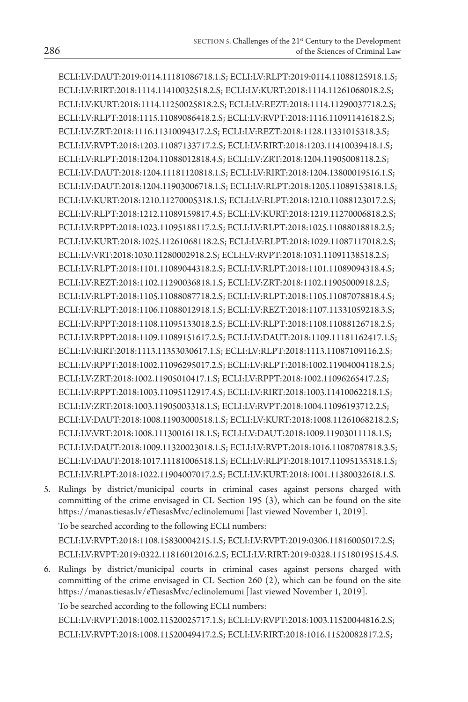ECLI:LV:DAUT:2019:0114.11181086718.1.S; ECLI:LV:RLPT:2019:0114.11088125918.1.S; ECLI:LV:RIRT:2018:1114.11410032518.2.S; ECLI:LV:KURT:2018:1114.11261068018.2.S; ECLI:LV:KURT:2018:1114.11250025818.2.S; ECLI:LV:REZT:2018:1114.11290037718.2.S; ECLI:LV:RLPT:2018:1115.11089086418.2.S; ECLI:LV:RVPT:2018:1116.11091141618.2.S; ECLI:LV:ZRT:2018:1116.11310094317.2.S; ECLI:LV:REZT:2018:1128.11331015318.3.S; ECLI:LV:RVPT:2018:1203.11087133717.2.S; ECLI:LV:RIRT:2018:1203.11410039418.1.S; ECLI:LV:RLPT:2018:1204.11088012818.4.S; ECLI:LV:ZRT:2018:1204.11905008118.2.S; ECLI:LV:DAUT:2018:1204.11181120818.1.S; ECLI:LV:RIRT:2018:1204.13800019516.1.S; ECLI:LV:DAUT:2018:1204.11903006718.1.S; ECLI:LV:RLPT:2018:1205.11089153818.1.S; ECLI:LV:KURT:2018:1210.11270005318.1.S; ECLI:LV:RLPT:2018:1210.11088123017.2.S; ECLI:LV:RLPT:2018:1212.11089159817.4.S; ECLI:LV:KURT:2018:1219.11270006818.2.S; ECLI:LV:RPPT:2018:1023.11095188117.2.S; ECLI:LV:RLPT:2018:1025.11088018818.2.S; ECLI:LV:KURT:2018:1025.11261068118.2.S; ECLI:LV:RLPT:2018:1029.11087117018.2.S; ECLI:LV:VRT:2018:1030.11280002918.2.S; ECLI:LV:RVPT:2018:1031.11091138518.2.S; ECLI:LV:RLPT:2018:1101.11089044318.2.S; ECLI:LV:RLPT:2018:1101.11089094318.4.S; ECLI:LV:REZT:2018:1102.11290036818.1.S; ECLI:LV:ZRT:2018:1102.11905000918.2.S; ECLI:LV:RLPT:2018:1105.11088087718.2.S; ECLI:LV:RLPT:2018:1105.11087078818.4.S; ECLI:LV:RLPT:2018:1106.11088012918.1.S; ECLI:LV:REZT:2018:1107.11331059218.3.S; ECLI:LV:RPPT:2018:1108.11095133018.2.S; ECLI:LV:RLPT:2018:1108.11088126718.2.S; ECLI:LV:RPPT:2018:1109.11089151617.2.S; ECLI:LV:DAUT:2018:1109.11181162417.1.S; ECLI:LV:RIRT:2018:1113.11353030617.1.S; ECLI:LV:RLPT:2018:1113.11087109116.2.S; ECLI:LV:RPPT:2018:1002.11096295017.2.S; ECLI:LV:RLPT:2018:1002.11904004118.2.S; ECLI:LV:ZRT:2018:1002.11905010417.1.S; ECLI:LV:RPPT:2018:1002.11096265417.2.S; ECLI:LV:RPPT:2018:1003.11095112917.4.S; ECLI:LV:RIRT:2018:1003.11410062218.1.S; ECLI:LV:ZRT:2018:1003.11905003318.1.S; ECLI:LV:RVPT:2018:1004.11096193712.2.S; ECLI:LV:DAUT:2018:1008.11903000518.1.S; ECLI:LV:KURT:2018:1008.11261068218.2.S; ECLI:LV:VRT:2018:1008.11130016118.1.S; ECLI:LV:DAUT:2018:1009.11903011118.1.S; ECLI:LV:DAUT:2018:1009.11320023018.1.S; ECLI:LV:RVPT:2018:1016.11087087818.3.S; ECLI:LV:DAUT:2018:1017.11181006518.1.S; ECLI:LV:RLPT:2018:1017.11095135318.1.S; ECLI:LV:RLPT:2018:1022.11904007017.2.S; ECLI:LV:KURT:2018:1001.11380032618.1.S.

5. Rulings by district/municipal courts in criminal cases against persons charged with committing of the crime envisaged in CL Section 195 (3), which can be found on the site https://manas.tiesas.lv/eTiesasMvc/eclinolemumi [last viewed November 1, 2019]. To be searched according to the following ECLI numbers:

ECLI:LV:RVPT:2018:1108.15830004215.1.S; ECLI:LV:RVPT:2019:0306.11816005017.2.S; ECLI:LV:RVPT:2019:0322.11816012016.2.S; ECLI:LV:RIRT:2019:0328.11518019515.4.S.

6. Rulings by district/municipal courts in criminal cases against persons charged with committing of the crime envisaged in CL Section 260 (2), which can be found on the site https://manas.tiesas.lv/eTiesasMvc/eclinolemumi [last viewed November 1, 2019].

To be searched according to the following ECLI numbers:

ECLI:LV:RVPT:2018:1002.11520025717.1.S; ECLI:LV:RVPT:2018:1003.11520044816.2.S; ECLI:LV:RVPT:2018:1008.11520049417.2.S; ECLI:LV:RIRT:2018:1016.11520082817.2.S;